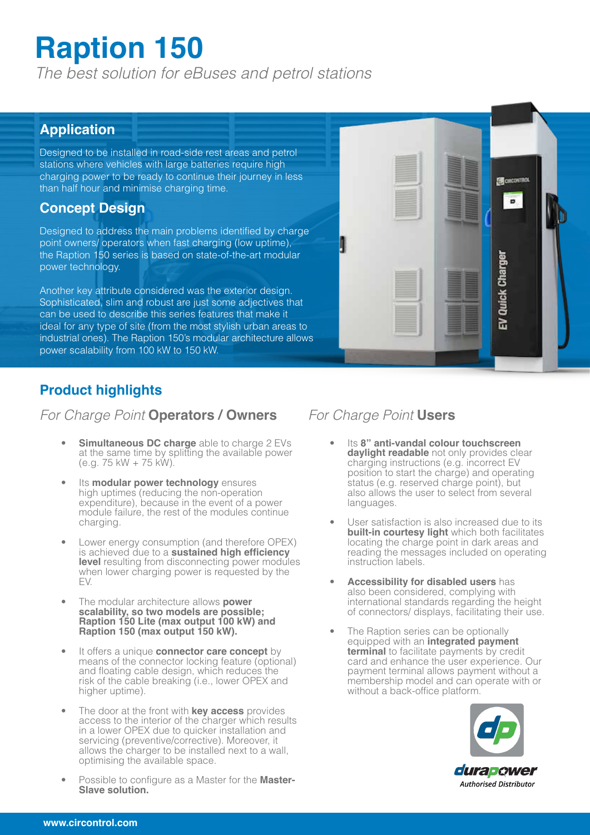# **Raption 150**

*The best solution for eBuses and petrol stations*

#### **Application**

Designed to be installed in road-side rest areas and petrol stations where vehicles with large batteries require high charging power to be ready to continue their journey in less than half hour and minimise charging time.

#### **Concept Design**

Designed to address the main problems identified by charge point owners/ operators when fast charging (low uptime), the Raption 150 series is based on state-of-the-art modular power technology.

Another key attribute considered was the exterior design. Sophisticated, slim and robust are just some adjectives that can be used to describe this series features that make it ideal for any type of site (from the most stylish urban areas to industrial ones). The Raption 150's modular architecture allows power scalability from 100 kW to 150 kW.

#### **Product highlights**

#### *For Charge Point* **Operators / Owners** *For Charge Point* **Users**

- **Simultaneous DC charge** able to charge 2 EVs at the same time by splitting the available power (e.g. 75 kW + 75 kW).
- Its **modular power technology** ensures high uptimes (reducing the non-operation expenditure), because in the event of a power module failure, the rest of the modules continue charging.
- Lower energy consumption (and therefore OPEX) is achieved due to a **sustained high efficiency level** resulting from disconnecting power modules when lower charging power is requested by the EV.
- The modular architecture allows **power scalability, so two models are possible; Raption 150 Lite (max output 100 kW) and Raption 150 (max output 150 kW).**
- It offers a unique **connector care concept** by means of the connector locking feature (optional) and floating cable design, which reduces the risk of the cable breaking (i.e., lower OPEX and higher uptime).
- The door at the front with **key access** provides access to the interior of the charger which results in a lower OPEX due to quicker installation and servicing (preventive/corrective). Moreover, it allows the charger to be installed next to a wall, optimising the available space.
- Possible to configure as a Master for the **Master-Slave solution.**

- Its **8" anti-vandal colour touchscreen daylight readable** not only provides clear charging instructions (e.g. incorrect EV position to start the charge) and operating status (e.g. reserved charge point), but also allows the user to select from several languages.
- User satisfaction is also increased due to its **built-in courtesy light** which both facilitates locating the charge point in dark areas and reading the messages included on operating instruction labels.
- **Accessibility for disabled users** has also been considered, complying with international standards regarding the height of connectors/ displays, facilitating their use.
- The Raption series can be optionally equipped with an **integrated payment terminal** to facilitate payments by credit card and enhance the user experience. Our payment terminal allows payment without a membership model and can operate with or without a back-office platform.



**EN CIRCONTROL** 

o

**Quick Charger** 

놂